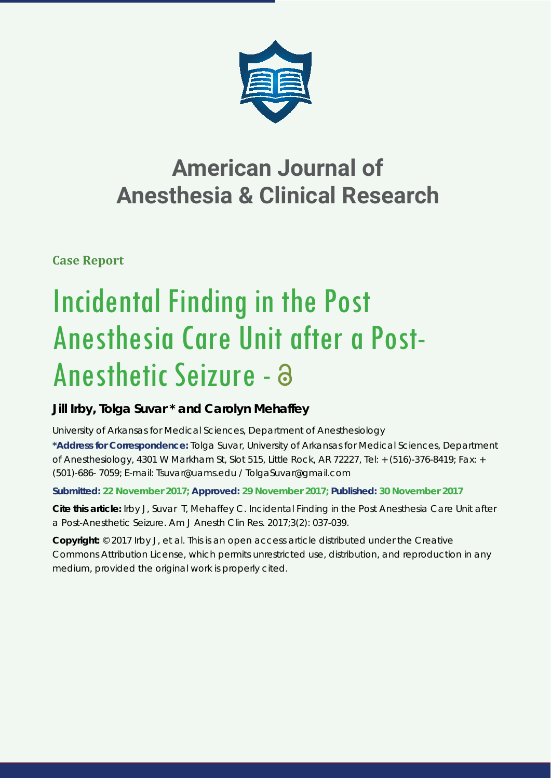

## **American Journal of Anesthesia & Clinical Research**

**Case Report**

# Incidental Finding in the Post Anesthesia Care Unit after a Post-Anesthetic Seizure -

### **Jill Irby, Tolga Suvar \* and Carolyn Mehaffey**

*University of Arkansas for Medical Sciences, Department of Anesthesiology*

**\*Address for Correspondence:** Tolga Suvar, University of Arkansas for Medical Sciences, Department of Anesthesiology, 4301 W Markham St, Slot 515, Little Rock, AR 72227, Tel: + (516)-376-8419; Fax: + (501)-686- 7059; E-mail: Tsuvar@uams.edu / TolgaSuvar@gmail.com

**Submitted: 22 November 2017; Approved: 29 November 2017; Published: 30 November 2017**

**Cite this article:** Irby J, Suvar T, Mehaffey C. Incidental Finding in the Post Anesthesia Care Unit after a Post-Anesthetic Seizure. Am J Anesth Clin Res. 2017;3(2): 037-039.

**Copyright:** © 2017 Irby J, et al. This is an open access article distributed under the Creative Commons Attribution License, which permits unrestricted use, distribution, and reproduction in any medium, provided the original work is properly cited.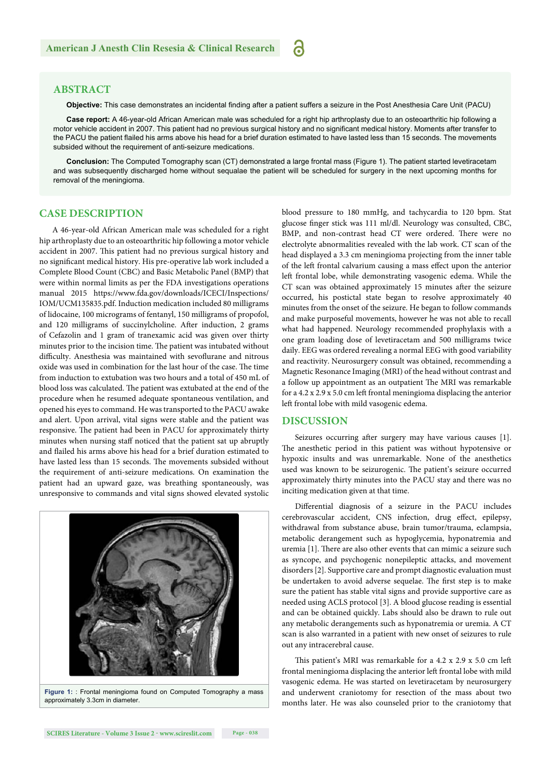#### **ABSTRACT**

Objective: This case demonstrates an incidental finding after a patient suffers a seizure in the Post Anesthesia Care Unit (PACU)

a

**Case report:** A 46-year-old African American male was scheduled for a right hip arthroplasty due to an osteoarthritic hip following a motor vehicle accident in 2007. This patient had no previous surgical history and no significant medical history. Moments after transfer to the PACU the patient flailed his arms above his head for a brief duration estimated to have lasted less than 15 seconds. The movements subsided without the requirement of anti-seizure medications.

**Conclusion:** The Computed Tomography scan (CT) demonstrated a large frontal mass (Figure 1). The patient started levetiracetam and was subsequently discharged home without sequalae the patient will be scheduled for surgery in the next upcoming months for removal of the meningioma.

#### **CASE DESCRIPTION**

A 46-year-old African American male was scheduled for a right hip arthroplasty due to an osteoarthritic hip following a motor vehicle accident in 2007. This patient had no previous surgical history and no significant medical history. His pre-operative lab work included a Complete Blood Count (CBC) and Basic Metabolic Panel (BMP) that were within normal limits as per the FDA investigations operations manual 2015 https://www.fda.gov/downloads/ICECI/Inspections/ IOM/UCM135835.pdf. Induction medication included 80 milligrams of lidocaine, 100 micrograms of fentanyl, 150 milligrams of propofol, and 120 milligrams of succinylcholine. After induction, 2 grams of Cefazolin and 1 gram of tranexamic acid was given over thirty minutes prior to the incision time. The patient was intubated without difficulty. Anesthesia was maintained with sevoflurane and nitrous oxide was used in combination for the last hour of the case. The time from induction to extubation was two hours and a total of 450 mL of blood loss was calculated. The patient was extubated at the end of the procedure when he resumed adequate spontaneous ventilation, and opened his eyes to command. He was transported to the PACU awake and alert. Upon arrival, vital signs were stable and the patient was responsive. The patient had been in PACU for approximately thirty minutes when nursing staff noticed that the patient sat up abruptly and flailed his arms above his head for a brief duration estimated to have lasted less than 15 seconds. The movements subsided without the requirement of anti-seizure medications. On examination the patient had an upward gaze, was breathing spontaneously, was unresponsive to commands and vital signs showed elevated systolic



**Figure 1:** : Frontal meningioma found on Computed Tomography a mass approximately 3.3cm in diameter.

blood pressure to 180 mmHg, and tachycardia to 120 bpm. Stat glucose finger stick was 111 ml/dl. Neurology was consulted, CBC, BMP, and non-contrast head CT were ordered. There were no electrolyte abnormalities revealed with the lab work. CT scan of the head displayed a 3.3 cm meningioma projecting from the inner table of the left frontal calvarium causing a mass effect upon the anterior left frontal lobe, while demonstrating vasogenic edema. While the CT scan was obtained approximately 15 minutes after the seizure occurred, his postictal state began to resolve approximately 40 minutes from the onset of the seizure. He began to follow commands and make purposeful movements, however he was not able to recall what had happened. Neurology recommended prophylaxis with a one gram loading dose of levetiracetam and 500 milligrams twice daily. EEG was ordered revealing a normal EEG with good variability and reactivity. Neurosurgery consult was obtained, recommending a Magnetic Resonance Imaging (MRI) of the head without contrast and a follow up appointment as an outpatient The MRI was remarkable for a 4.2 x 2.9 x 5.0 cm left frontal meningioma displacing the anterior left frontal lobe with mild vasogenic edema.

#### **DISCUSSION**

Seizures occurring after surgery may have various causes [1]. The anesthetic period in this patient was without hypotensive or hypoxic insults and was unremarkable. None of the anesthetics used was known to be seizurogenic. The patient's seizure occurred approximately thirty minutes into the PACU stay and there was no inciting medication given at that time.

Differential diagnosis of a seizure in the PACU includes cerebrovascular accident, CNS infection, drug effect, epilepsy, withdrawal from substance abuse, brain tumor/trauma, eclampsia, metabolic derangement such as hypoglycemia, hyponatremia and uremia [1]. There are also other events that can mimic a seizure such as syncope, and psychogenic nonepileptic attacks, and movement disorders [2]. Supportive care and prompt diagnostic evaluation must be undertaken to avoid adverse sequelae. The first step is to make sure the patient has stable vital signs and provide supportive care as needed using ACLS protocol [3]. A blood glucose reading is essential and can be obtained quickly. Labs should also be drawn to rule out any metabolic derangements such as hyponatremia or uremia. A CT scan is also warranted in a patient with new onset of seizures to rule out any intracerebral cause.

This patient's MRI was remarkable for a 4.2 x 2.9 x 5.0 cm left frontal meningioma displacing the anterior left frontal lobe with mild vasogenic edema. He was started on levetiracetam by neurosurgery and underwent craniotomy for resection of the mass about two months later. He was also counseled prior to the craniotomy that